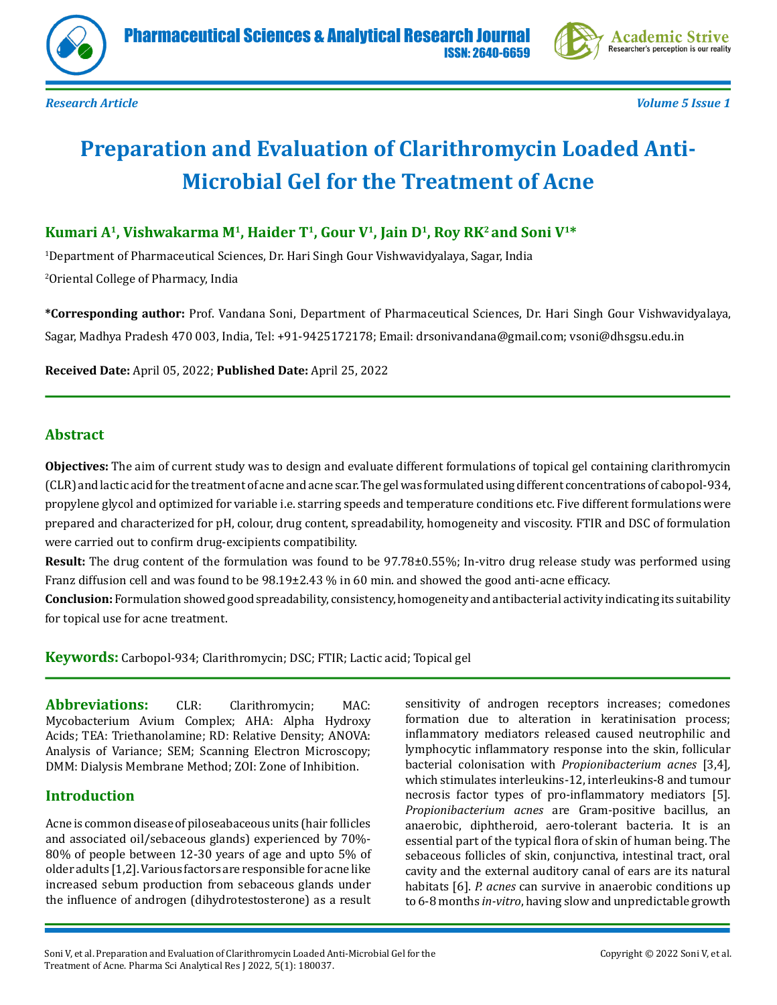



*Research Article Volume 5 Issue 1*

# **Preparation and Evaluation of Clarithromycin Loaded Anti-Microbial Gel for the Treatment of Acne**

# Kumari A<sup>1</sup>, Vishwakarma M<sup>1</sup>, Haider T<sup>1</sup>, Gour V<sup>1</sup>, Jain D<sup>1</sup>, Roy RK<sup>2</sup> and Soni V<sup>1\*</sup>

1 Department of Pharmaceutical Sciences, Dr. Hari Singh Gour Vishwavidyalaya, Sagar, India 2 Oriental College of Pharmacy, India

**\*Corresponding author:** Prof. Vandana Soni, Department of Pharmaceutical Sciences, Dr. Hari Singh Gour Vishwavidyalaya, Sagar, Madhya Pradesh 470 003, India, Tel: +91-9425172178; Email: drsonivandana@gmail.com; vsoni@dhsgsu.edu.in

**Received Date:** April 05, 2022; **Published Date:** April 25, 2022

# **Abstract**

**Objectives:** The aim of current study was to design and evaluate different formulations of topical gel containing clarithromycin (CLR) and lactic acid for the treatment of acne and acne scar. The gel was formulated using different concentrations of cabopol-934, propylene glycol and optimized for variable i.e. starring speeds and temperature conditions etc. Five different formulations were prepared and characterized for pH, colour, drug content, spreadability, homogeneity and viscosity. FTIR and DSC of formulation were carried out to confirm drug-excipients compatibility.

**Result:** The drug content of the formulation was found to be 97.78±0.55%; In-vitro drug release study was performed using Franz diffusion cell and was found to be 98.19±2.43 % in 60 min. and showed the good anti-acne efficacy.

**Conclusion:** Formulation showed good spreadability, consistency, homogeneity and antibacterial activity indicating its suitability for topical use for acne treatment.

**Keywords:** Carbopol-934; Clarithromycin; DSC; FTIR; Lactic acid; Topical gel

**Abbreviations:** CLR: Clarithromycin; MAC: Mycobacterium Avium Complex; AHA: Alpha Hydroxy Acids; TEA: Triethanolamine; RD: Relative Density; ANOVA: Analysis of Variance; SEM; Scanning Electron Microscopy; DMM: Dialysis Membrane Method; ZOI: Zone of Inhibition.

# **Introduction**

Acne is common disease of piloseabaceous units (hair follicles and associated oil/sebaceous glands) experienced by 70%- 80% of people between 12-30 years of age and upto 5% of older adults [1,2]. Various factors are responsible for acne like increased sebum production from sebaceous glands under the influence of androgen (dihydrotestosterone) as a result

sensitivity of androgen receptors increases; comedones formation due to alteration in keratinisation process; inflammatory mediators released caused neutrophilic and lymphocytic inflammatory response into the skin, follicular bacterial colonisation with *Propionibacterium acnes* [3,4]*,*  which stimulates interleukins-12, interleukins-8 and tumour necrosis factor types of pro-inflammatory mediators [5]*. Propionibacterium acnes* are Gram-positive bacillus, an anaerobic, diphtheroid, aero-tolerant bacteria. It is an essential part of the typical flora of skin of human being. The sebaceous follicles of skin, conjunctiva, intestinal tract, oral cavity and the external auditory canal of ears are its natural habitats [6]. *P. acnes* can survive in anaerobic conditions up to 6-8 months *in-vitro*, having slow and unpredictable growth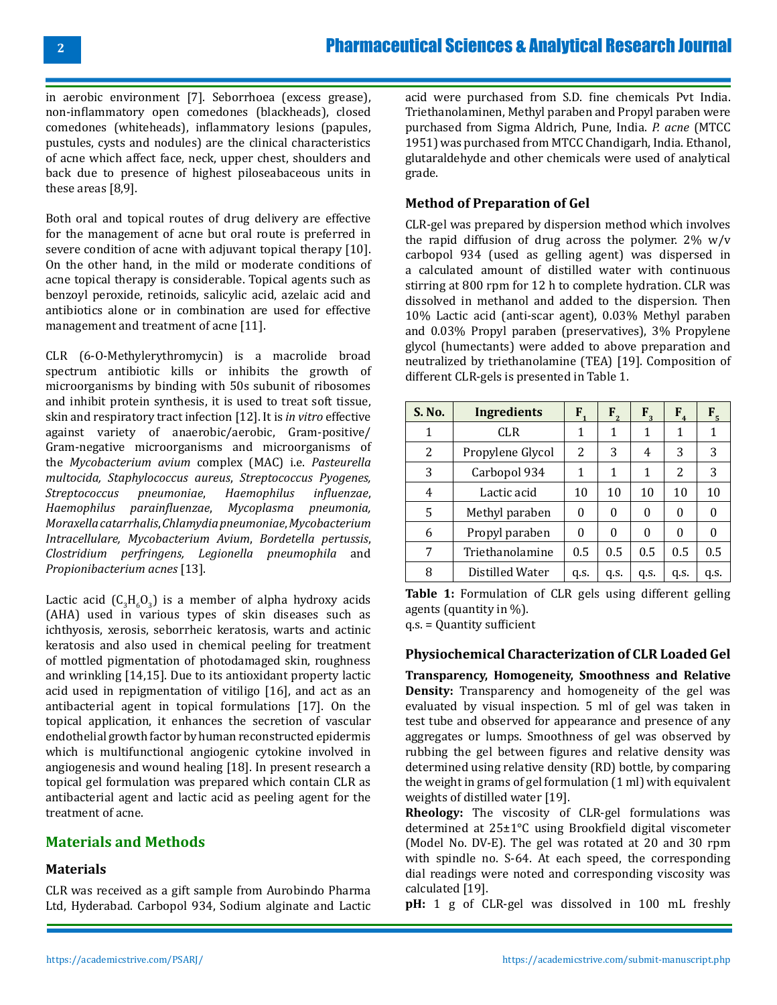in aerobic environment [7]. Seborrhoea (excess grease), non-inflammatory open comedones (blackheads), closed comedones (whiteheads), inflammatory lesions (papules, pustules, cysts and nodules) are the clinical characteristics of acne which affect face, neck, upper chest, shoulders and back due to presence of highest piloseabaceous units in these areas [8,9].

Both oral and topical routes of drug delivery are effective for the management of acne but oral route is preferred in severe condition of acne with adjuvant topical therapy [10]. On the other hand, in the mild or moderate conditions of acne topical therapy is considerable. Topical agents such as benzoyl peroxide, retinoids, salicylic acid, azelaic acid and antibiotics alone or in combination are used for effective management and treatment of acne [11].

CLR (6-O-Methylerythromycin) is a macrolide broad spectrum antibiotic kills or inhibits the growth of microorganisms by binding with 50s subunit of ribosomes and inhibit protein synthesis, it is used to treat soft tissue, skin and respiratory tract infection [12]. It is *in vitro* effective against variety of anaerobic/aerobic, Gram-positive/ Gram-negative microorganisms and microorganisms of the *Mycobacterium avium* complex (MAC) i.e. *Pasteurella multocida, Staphylococcus aureus*, *Streptococcus Pyogenes, Streptococcus* pneumoniae, *Haemophilus Haemophilus parainfluenzae*, *Mycoplasma pneumonia, Moraxella catarrhalis*, *Chlamydia pneumoniae*, *Mycobacterium Intracellulare, Mycobacterium Avium*, *Bordetella pertussis*, *Clostridium perfringens, Legionella pneumophila* and *Propionibacterium acnes* [13].

Lactic acid  $(C_3H_6O_3)$  is a member of alpha hydroxy acids (AHA) used in various types of skin diseases such as ichthyosis, xerosis, seborrheic keratosis, warts and actinic keratosis and also used in chemical peeling for treatment of mottled pigmentation of photodamaged skin, roughness and wrinkling [14,15]. Due to its antioxidant property lactic acid used in repigmentation of vitiligo [16], and act as an antibacterial agent in topical formulations [17]. On the topical application, it enhances the secretion of vascular endothelial growth factor by human reconstructed epidermis which is multifunctional angiogenic cytokine involved in angiogenesis and wound healing [18]. In present research a topical gel formulation was prepared which contain CLR as antibacterial agent and lactic acid as peeling agent for the treatment of acne.

# **Materials and Methods**

# **Materials**

CLR was received as a gift sample from Aurobindo Pharma Ltd, Hyderabad. Carbopol 934, Sodium alginate and Lactic

acid were purchased from S.D. fine chemicals Pvt India. Triethanolaminen, Methyl paraben and Propyl paraben were purchased from Sigma Aldrich, Pune, India. *P. acne* (MTCC 1951) was purchased from MTCC Chandigarh, India. Ethanol, glutaraldehyde and other chemicals were used of analytical grade.

# **Method of Preparation of Gel**

CLR-gel was prepared by dispersion method which involves the rapid diffusion of drug across the polymer.  $2\%$  w/v carbopol 934 (used as gelling agent) was dispersed in a calculated amount of distilled water with continuous stirring at 800 rpm for 12 h to complete hydration. CLR was dissolved in methanol and added to the dispersion. Then 10% Lactic acid (anti-scar agent), 0.03% Methyl paraben and 0.03% Propyl paraben (preservatives), 3% Propylene glycol (humectants) were added to above preparation and neutralized by triethanolamine (TEA) [19]. Composition of different CLR-gels is presented in Table 1.

| S. No. | Ingredients      | $F_{1}$ | $F_{2}$ | $F_{3}$ | $F_{4}$ | F <sub>5</sub> |
|--------|------------------|---------|---------|---------|---------|----------------|
| 1      | <b>CLR</b>       | 1       | 1       | 1       | 1       |                |
| 2      | Propylene Glycol | 2       | 3       | 4       | 3       | 3              |
| 3      | Carbopol 934     | 1       | 1       | 1       | 2       | 3              |
| 4      | Lactic acid      | 10      | 10      | 10      | 10      | 10             |
| 5      | Methyl paraben   | 0       | 0       | 0       | 0       |                |
| 6      | Propyl paraben   | 0       | 0       | 0       | 0       |                |
| 7      | Triethanolamine  | 0.5     | 0.5     | 0.5     | 0.5     | 0.5            |
| 8      | Distilled Water  | q.s.    | q.s.    | q.s.    | q.s.    | q.s.           |

**Table 1:** Formulation of CLR gels using different gelling agents (quantity in %).

q.s. = Quantity sufficient

#### **Physiochemical Characterization of CLR Loaded Gel**

**Transparency, Homogeneity, Smoothness and Relative Density:** Transparency and homogeneity of the gel was evaluated by visual inspection. 5 ml of gel was taken in test tube and observed for appearance and presence of any aggregates or lumps. Smoothness of gel was observed by rubbing the gel between figures and relative density was determined using relative density (RD) bottle, by comparing the weight in grams of gel formulation (1 ml) with equivalent weights of distilled water [19].

**Rheology:** The viscosity of CLR-gel formulations was determined at 25±1°C using Brookfield digital viscometer (Model No. DV-E). The gel was rotated at 20 and 30 rpm with spindle no. S-64. At each speed, the corresponding dial readings were noted and corresponding viscosity was calculated [19].

**pH:** 1 g of CLR-gel was dissolved in 100 mL freshly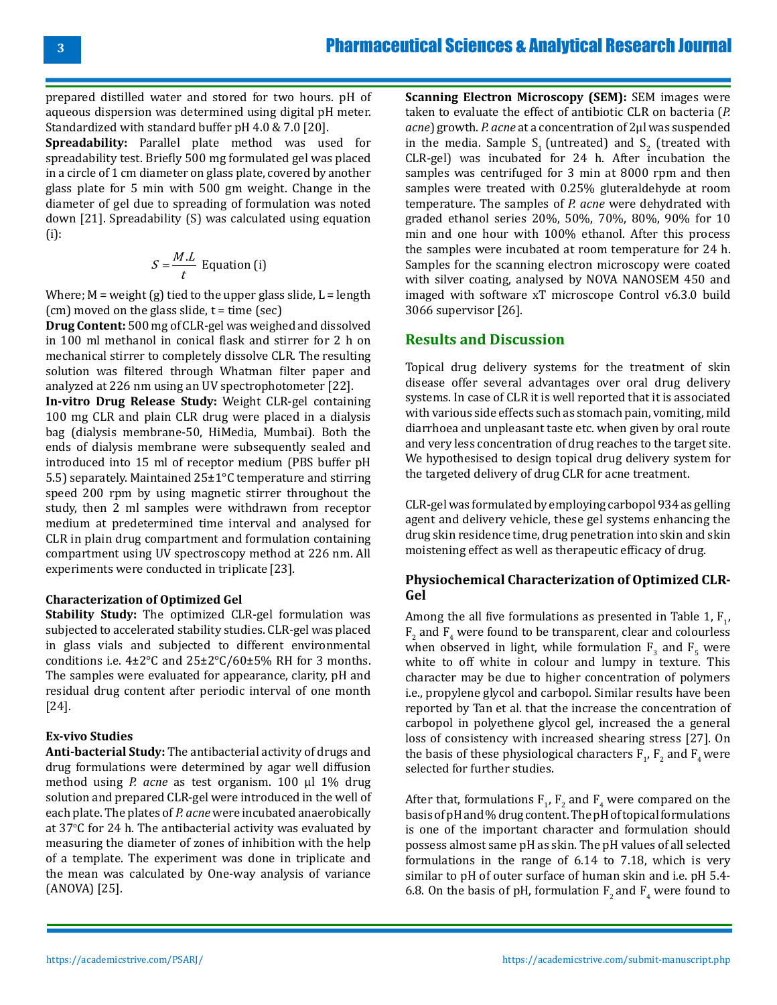prepared distilled water and stored for two hours. pH of aqueous dispersion was determined using digital pH meter. Standardized with standard buffer pH 4.0 & 7.0 [20].

**Spreadability:** Parallel plate method was used for spreadability test. Briefly 500 mg formulated gel was placed in a circle of 1 cm diameter on glass plate, covered by another glass plate for 5 min with 500 gm weight. Change in the diameter of gel due to spreading of formulation was noted down [21]. Spreadability (S) was calculated using equation (i):

$$
S = \frac{M.L}{t}
$$
 Equation (i)

Where;  $M$  = weight (g) tied to the upper glass slide,  $L$  = length  $(cm)$  moved on the glass slide,  $t = time$  (sec)

**Drug Content:** 500 mg of CLR-gel was weighed and dissolved in 100 ml methanol in conical flask and stirrer for 2 h on mechanical stirrer to completely dissolve CLR. The resulting solution was filtered through Whatman filter paper and analyzed at 226 nm using an UV spectrophotometer [22].

**In-vitro Drug Release Study:** Weight CLR-gel containing 100 mg CLR and plain CLR drug were placed in a dialysis bag (dialysis membrane-50, HiMedia, Mumbai). Both the ends of dialysis membrane were subsequently sealed and introduced into 15 ml of receptor medium (PBS buffer pH 5.5) separately. Maintained 25±1°C temperature and stirring speed 200 rpm by using magnetic stirrer throughout the study, then 2 ml samples were withdrawn from receptor medium at predetermined time interval and analysed for CLR in plain drug compartment and formulation containing compartment using UV spectroscopy method at 226 nm. All experiments were conducted in triplicate [23].

#### **Characterization of Optimized Gel**

**Stability Study:** The optimized CLR-gel formulation was subjected to accelerated stability studies. CLR-gel was placed in glass vials and subjected to different environmental conditions i.e. 4±2°C and 25±2°C/60±5% RH for 3 months. The samples were evaluated for appearance, clarity, pH and residual drug content after periodic interval of one month [24].

#### **Ex-vivo Studies**

**Anti-bacterial Study:** The antibacterial activity of drugs and drug formulations were determined by agar well diffusion method using *P. acne* as test organism. 100 µl 1% drug solution and prepared CLR-gel were introduced in the well of each plate. The plates of *P. acne* were incubated anaerobically at 37°C for 24 h. The antibacterial activity was evaluated by measuring the diameter of zones of inhibition with the help of a template. The experiment was done in triplicate and the mean was calculated by One-way analysis of variance (ANOVA) [25].

**Scanning Electron Microscopy (SEM):** SEM images were taken to evaluate the effect of antibiotic CLR on bacteria (*P. acne*) growth. *P. acne* at a concentration of 2µl was suspended in the media. Sample  $S_1$  (untreated) and  $S_2$  (treated with CLR-gel) was incubated for 24 h. After incubation the samples was centrifuged for 3 min at 8000 rpm and then samples were treated with 0.25% gluteraldehyde at room temperature. The samples of *P. acne* were dehydrated with graded ethanol series 20%, 50%, 70%, 80%, 90% for 10 min and one hour with 100% ethanol. After this process the samples were incubated at room temperature for 24 h. Samples for the scanning electron microscopy were coated with silver coating, analysed by NOVA NANOSEM 450 and imaged with software xT microscope Control v6.3.0 build 3066 supervisor [26].

# **Results and Discussion**

Topical drug delivery systems for the treatment of skin disease offer several advantages over oral drug delivery systems. In case of CLR it is well reported that it is associated with various side effects such as stomach pain, vomiting, mild diarrhoea and unpleasant taste etc. when given by oral route and very less concentration of drug reaches to the target site. We hypothesised to design topical drug delivery system for the targeted delivery of drug CLR for acne treatment.

CLR-gel was formulated by employing carbopol 934 as gelling agent and delivery vehicle, these gel systems enhancing the drug skin residence time, drug penetration into skin and skin moistening effect as well as therapeutic efficacy of drug.

# **Physiochemical Characterization of Optimized CLR-Gel**

Among the all five formulations as presented in Table 1,  $F_{1'}$ ,  $F_2$  and  $F_4$  were found to be transparent, clear and colourless when observed in light, while formulation  $F_3$  and  $F_5$  were white to off white in colour and lumpy in texture. This character may be due to higher concentration of polymers i.e., propylene glycol and carbopol. Similar results have been reported by Tan et al. that the increase the concentration of carbopol in polyethene glycol gel, increased the a general loss of consistency with increased shearing stress [27]. On the basis of these physiological characters  $F_1$ ,  $F_2$  and  $F_4$  were selected for further studies.

After that, formulations  $F_1$ ,  $F_2$  and  $F_4$  were compared on the basis of pH and % drug content. The pH of topical formulations is one of the important character and formulation should possess almost same pH as skin. The pH values of all selected formulations in the range of 6.14 to 7.18, which is very similar to pH of outer surface of human skin and i.e. pH 5.4- 6.8. On the basis of pH, formulation  $F_2$  and  $F_4$  were found to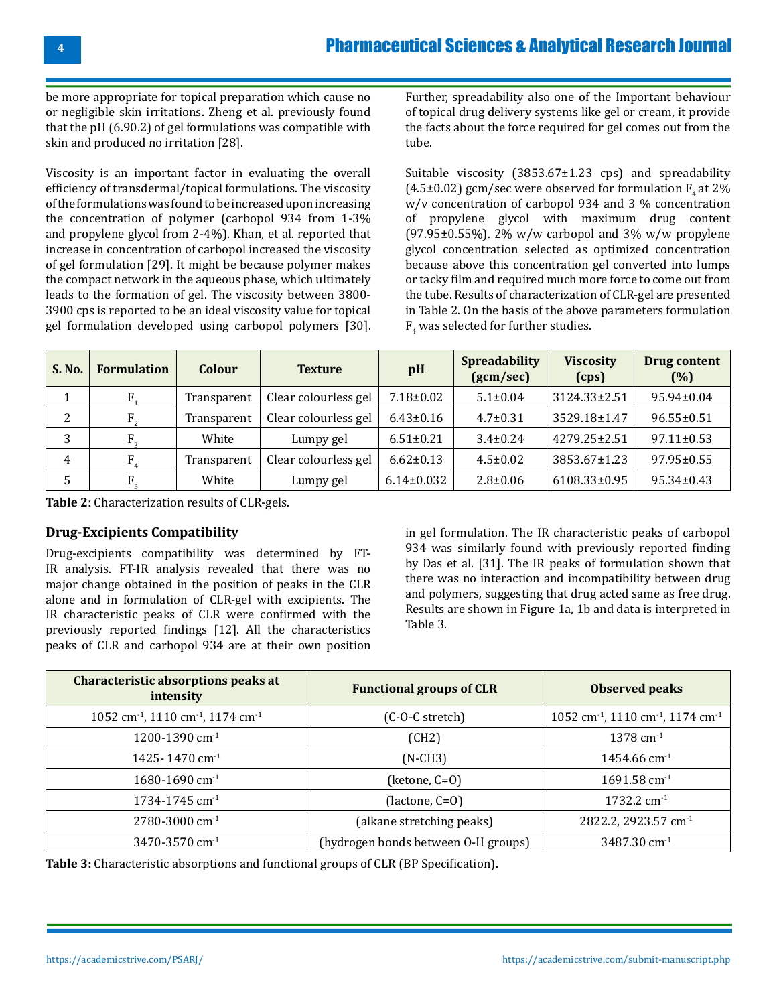be more appropriate for topical preparation which cause no or negligible skin irritations. Zheng et al. previously found that the pH (6.90.2) of gel formulations was compatible with skin and produced no irritation [28].

Viscosity is an important factor in evaluating the overall efficiency of transdermal/topical formulations. The viscosity of the formulations was found to be increased upon increasing the concentration of polymer (carbopol 934 from 1-3% and propylene glycol from 2-4%). Khan, et al. reported that increase in concentration of carbopol increased the viscosity of gel formulation [29]. It might be because polymer makes the compact network in the aqueous phase, which ultimately leads to the formation of gel. The viscosity between 3800- 3900 cps is reported to be an ideal viscosity value for topical gel formulation developed using carbopol polymers [30].

Further, spreadability also one of the Important behaviour of topical drug delivery systems like gel or cream, it provide the facts about the force required for gel comes out from the tube.

Suitable viscosity (3853.67±1.23 cps) and spreadability (4.5±0.02) gcm/sec were observed for formulation  $F<sub>4</sub>$  at 2% w/v concentration of carbopol 934 and 3 % concentration of propylene glycol with maximum drug content (97.95 $\pm$ 0.55%). 2% w/w carbopol and 3% w/w propylene glycol concentration selected as optimized concentration because above this concentration gel converted into lumps or tacky film and required much more force to come out from the tube. Results of characterization of CLR-gel are presented in Table 2. On the basis of the above parameters formulation  $F_4$  was selected for further studies.

| <b>S. No.</b> | <b>Formulation</b> | Colour      | <b>Texture</b>       | pH               | <b>Spreadability</b><br>(gcm/sec) | <b>Viscosity</b><br>(cps) | Drug content<br>(%) |
|---------------|--------------------|-------------|----------------------|------------------|-----------------------------------|---------------------------|---------------------|
|               |                    | Transparent | Clear colourless gel | $7.18 \pm 0.02$  | $5.1 \pm 0.04$                    | $3124.33 \pm 2.51$        | 95.94±0.04          |
| 2             | $F_{2}$            | Transparent | Clear colourless gel | $6.43 \pm 0.16$  | $4.7 \pm 0.31$                    | 3529.18±1.47              | $96.55 \pm 0.51$    |
| 3             |                    | White       | Lumpy gel            | $6.51 \pm 0.21$  | $3.4 \pm 0.24$                    | 4279.25±2.51              | $97.11 \pm 0.53$    |
| 4             |                    | Transparent | Clear colourless gel | $6.62 \pm 0.13$  | $4.5 \pm 0.02$                    | 3853.67±1.23              | $97.95 \pm 0.55$    |
| 5             |                    | White       | Lumpy gel            | $6.14 \pm 0.032$ | $2.8 \pm 0.06$                    | 6108.33±0.95              | $95.34 \pm 0.43$    |

**Table 2:** Characterization results of CLR-gels.

#### **Drug-Excipients Compatibility**

Drug-excipients compatibility was determined by FT-IR analysis. FT-IR analysis revealed that there was no major change obtained in the position of peaks in the CLR alone and in formulation of CLR-gel with excipients. The IR characteristic peaks of CLR were confirmed with the previously reported findings [12]. All the characteristics peaks of CLR and carbopol 934 are at their own position

in gel formulation. The IR characteristic peaks of carbopol 934 was similarly found with previously reported finding by Das et al. [31]. The IR peaks of formulation shown that there was no interaction and incompatibility between drug and polymers, suggesting that drug acted same as free drug. Results are shown in Figure 1a, 1b and data is interpreted in Table 3.

| Characteristic absorptions peaks at<br>intensity                      | <b>Functional groups of CLR</b>     | <b>Observed peaks</b>                                                 |  |
|-----------------------------------------------------------------------|-------------------------------------|-----------------------------------------------------------------------|--|
| 1052 cm <sup>-1</sup> , 1110 cm <sup>-1</sup> , 1174 cm <sup>-1</sup> | (C-O-C stretch)                     | 1052 cm <sup>-1</sup> , 1110 cm <sup>-1</sup> , 1174 cm <sup>-1</sup> |  |
| 1200-1390 cm <sup>-1</sup>                                            | (CH2)                               | $1378$ cm <sup>-1</sup>                                               |  |
| 1425-1470 cm <sup>-1</sup>                                            | $(N-CH3)$                           | $1454.66$ cm <sup>-1</sup>                                            |  |
| 1680-1690 cm <sup>-1</sup>                                            | (ketone, C=O)                       | $1691.58$ cm <sup>-1</sup>                                            |  |
| 1734-1745 cm <sup>-1</sup>                                            | (lactone, C=O)                      | $1732.2$ cm <sup>-1</sup>                                             |  |
| 2780-3000 cm <sup>-1</sup>                                            | (alkane stretching peaks)           | 2822.2, 2923.57 cm <sup>-1</sup>                                      |  |
| 3470-3570 cm <sup>-1</sup>                                            | (hydrogen bonds between O-H groups) | 3487.30 cm <sup>-1</sup>                                              |  |

**Table 3:** Characteristic absorptions and functional groups of CLR (BP Specification).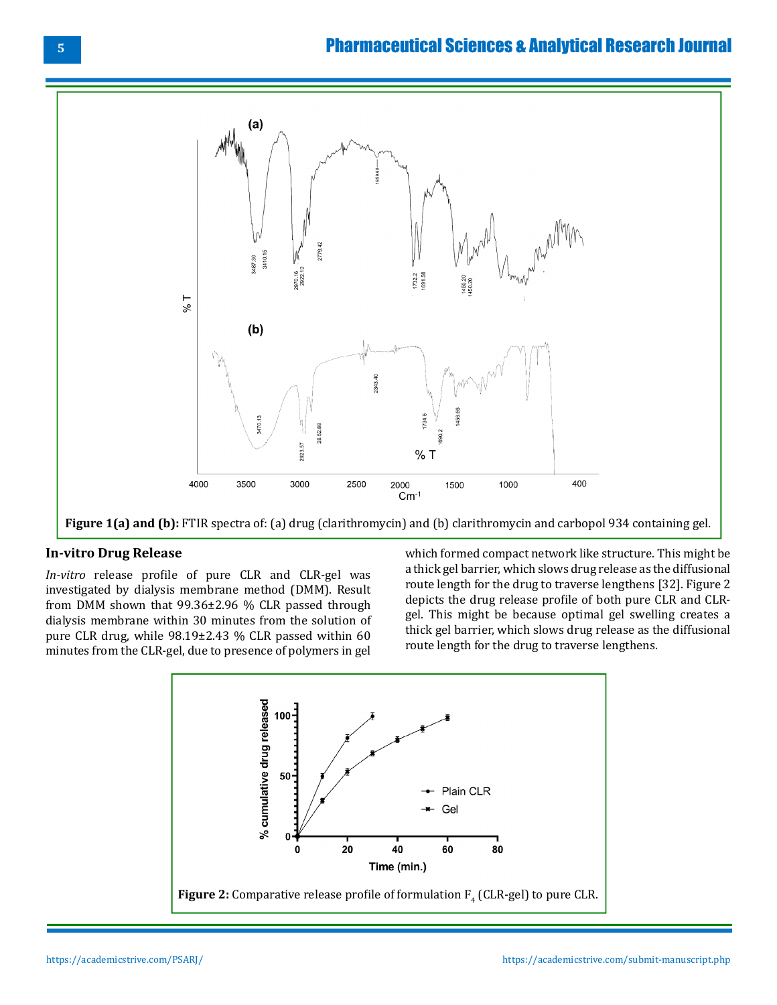# Pharmaceutical Sciences & Analytical Research Journal



**Figure 1(a) and (b):** FTIR spectra of: (a) drug (clarithromycin) and (b) clarithromycin and carbopol 934 containing gel.

# **In-vitro Drug Release**

*In-vitro* release profile of pure CLR and CLR-gel was investigated by dialysis membrane method (DMM). Result from DMM shown that 99.36±2.96 % CLR passed through dialysis membrane within 30 minutes from the solution of pure CLR drug, while 98.19±2.43 % CLR passed within 60 minutes from the CLR-gel, due to presence of polymers in gel

which formed compact network like structure. This might be a thick gel barrier, which slows drug release as the diffusional route length for the drug to traverse lengthens [32]. Figure 2 depicts the drug release profile of both pure CLR and CLRgel. This might be because optimal gel swelling creates a thick gel barrier, which slows drug release as the diffusional route length for the drug to traverse lengthens.

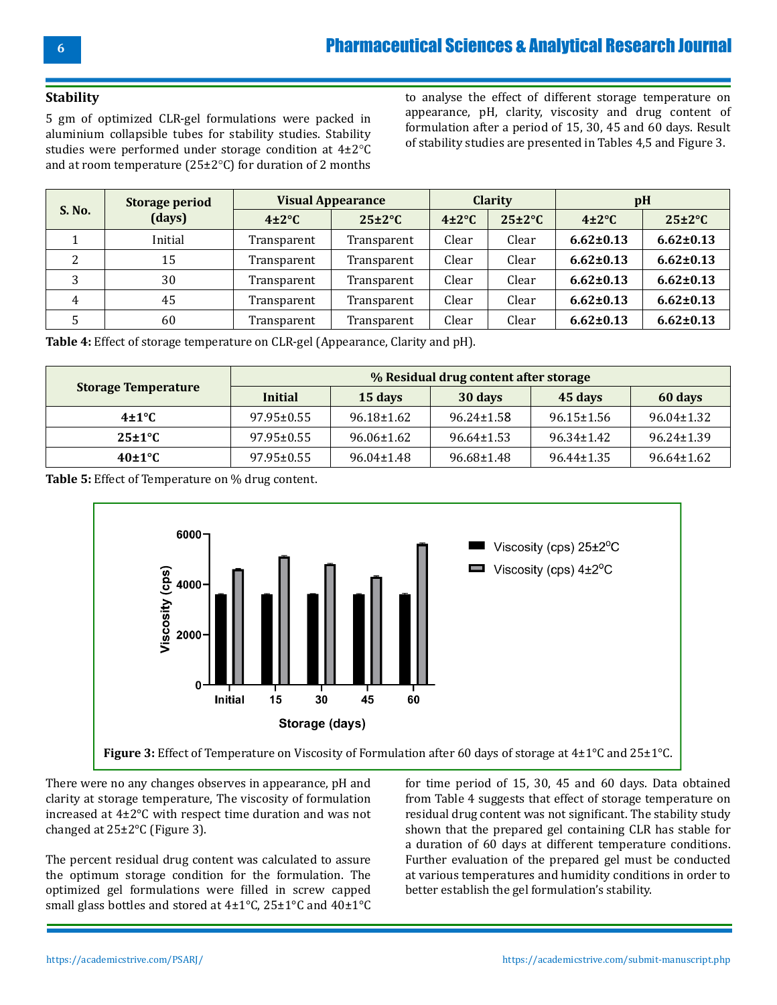#### **Stability**

5 gm of optimized CLR-gel formulations were packed in aluminium collapsible tubes for stability studies. Stability studies were performed under storage condition at 4±2°C and at room temperature ( $25\pm2\degree$ C) for duration of 2 months

to analyse the effect of different storage temperature on appearance, pH, clarity, viscosity and drug content of formulation after a period of 15, 30, 45 and 60 days. Result of stability studies are presented in Tables 4,5 and Figure 3.

|                    | <b>Storage period</b><br>(days) | <b>Visual Appearance</b> |                     | <b>Clarity</b>   |                     | pH               |                   |
|--------------------|---------------------------------|--------------------------|---------------------|------------------|---------------------|------------------|-------------------|
| S. No.             |                                 | $4\pm2\degree$ C         | $25 \pm 2^{\circ}C$ | $4\pm2\degree$ C | $25 \pm 2^{\circ}C$ | $4\pm2\degree$ C | $25\pm2\degree$ C |
|                    | Initial                         | Transparent              | Transparent         | Clear            | Clear               | $6.62 \pm 0.13$  | $6.62 \pm 0.13$   |
| $\mathcal{D}$<br>∠ | 15                              | Transparent              | Transparent         | Clear            | Clear               | $6.62 \pm 0.13$  | $6.62 \pm 0.13$   |
| Э                  | 30                              | Transparent              | Transparent         | Clear            | Clear               | $6.62 \pm 0.13$  | $6.62 \pm 0.13$   |
| 4                  | 45                              | Transparent              | Transparent         | Clear            | Clear               | $6.62 \pm 0.13$  | $6.62 \pm 0.13$   |
|                    | 60                              | Transparent              | Transparent         | Clear            | Clear               | $6.62 \pm 0.13$  | $6.62 \pm 0.13$   |

**Table 4:** Effect of storage temperature on CLR-gel (Appearance, Clarity and pH).

|                            | % Residual drug content after storage |                  |                  |                  |                  |  |
|----------------------------|---------------------------------------|------------------|------------------|------------------|------------------|--|
| <b>Storage Temperature</b> | Initial                               | 15 days          | 30 days          | 45 days          | 60 days          |  |
| $4\pm1\degree$ C           | $97.95 \pm 0.55$                      | $96.18 \pm 1.62$ | $96.24 \pm 1.58$ | 96.15±1.56       | $96.04 \pm 1.32$ |  |
| $25\pm1\degree$ C          | 97.95±0.55                            | 96.06±1.62       | $96.64 \pm 1.53$ | $96.34 \pm 1.42$ | $96.24 \pm 1.39$ |  |
| $40\pm1\degree$ C          | 97.95±0.55                            | $96.04 \pm 1.48$ | 96.68±1.48       | $96.44 \pm 1.35$ | $96.64 \pm 1.62$ |  |

**Table 5:** Effect of Temperature on % drug content.



There were no any changes observes in appearance, pH and clarity at storage temperature, The viscosity of formulation increased at 4±2°C with respect time duration and was not changed at 25±2°C (Figure 3).

The percent residual drug content was calculated to assure the optimum storage condition for the formulation. The optimized gel formulations were filled in screw capped small glass bottles and stored at 4±1°C, 25±1°C and 40±1°C

for time period of 15, 30, 45 and 60 days. Data obtained from Table 4 suggests that effect of storage temperature on residual drug content was not significant. The stability study shown that the prepared gel containing CLR has stable for a duration of 60 days at different temperature conditions. Further evaluation of the prepared gel must be conducted at various temperatures and humidity conditions in order to better establish the gel formulation's stability.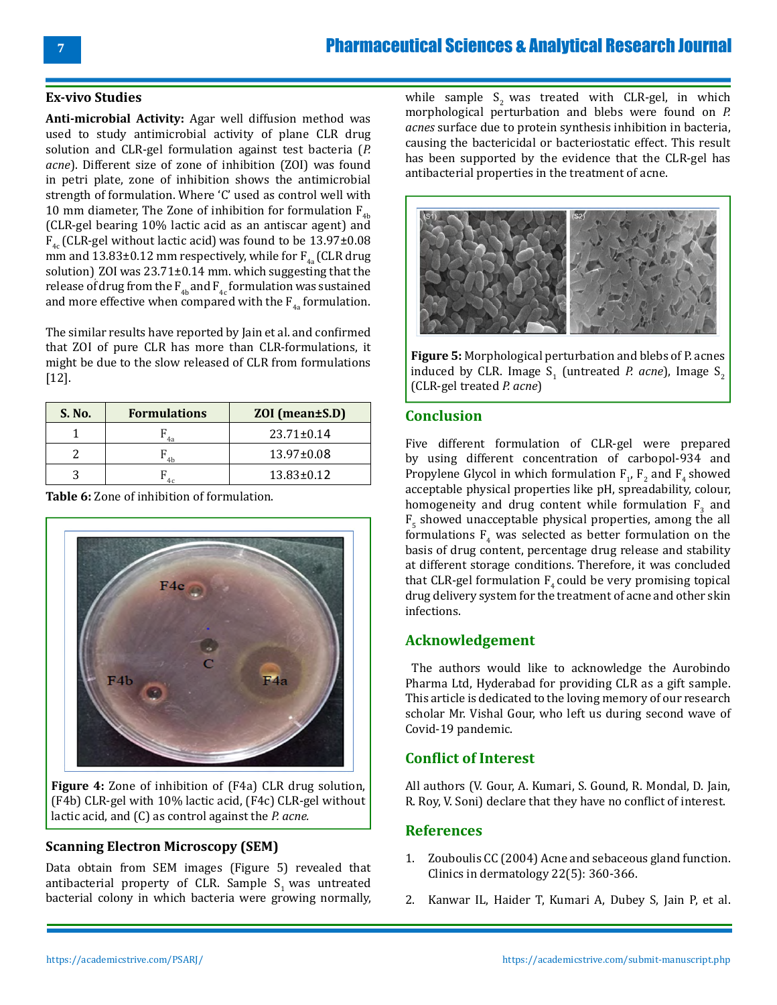#### **Ex-vivo Studies**

**Anti-microbial Activity:** Agar well diffusion method was used to study antimicrobial activity of plane CLR drug solution and CLR-gel formulation against test bacteria (*P. acne*). Different size of zone of inhibition (ZOI) was found in petri plate, zone of inhibition shows the antimicrobial strength of formulation. Where 'C' used as control well with 10 mm diameter, The Zone of inhibition for formulation  $F_{4b}$ (CLR-gel bearing 10% lactic acid as an antiscar agent) and  $F_{4c}$  (CLR-gel without lactic acid) was found to be 13.97±0.08 mm and 13.83±0.12 mm respectively, while for  $F_{4a}$  (CLR drug solution), ZOI was 23.71±0.14 mm. which suggesting that the release of drug from the  $F_{4b}$  and  $F_{4c}$  formulation was sustained and more effective when compared with the  $F_{4a}$  formulation.

The similar results have reported by Jain et al. and confirmed that ZOI of pure CLR has more than CLR-formulations, it might be due to the slow released of CLR from formulations [12].

| S. No. | <b>Formulations</b> | ZOI (mean±S.D)   |
|--------|---------------------|------------------|
|        |                     | $23.71 \pm 0.14$ |
|        | $\mathcal{A}$       | $13.97 \pm 0.08$ |
|        |                     | $13.83 \pm 0.12$ |

**Table 6:** Zone of inhibition of formulation.

**Figure 4:** Zone of inhibition of (F4a) CLR drug solution, (F4b) CLR-gel with 10% lactic acid, (F4c) CLR-gel without lactic acid, and (C) as control against the *P. acne.*

#### **Scanning Electron Microscopy (SEM)**

Data obtain from SEM images (Figure 5) revealed that antibacterial property of CLR. Sample  $S<sub>1</sub>$  was untreated bacterial colony in which bacteria were growing normally,

while sample  $S_2$  was treated with CLR-gel, in which morphological perturbation and blebs were found on *P. acnes* surface due to protein synthesis inhibition in bacteria, causing the bactericidal or bacteriostatic effect. This result has been supported by the evidence that the CLR-gel has antibacterial properties in the treatment of acne.



**Figure 5:** Morphological perturbation and blebs of P. acnes induced by CLR. Image  $S_1$  (untreated *P. acne*), Image  $S_2$ (CLR-gel treated *P. acne*)

#### **Conclusion**

Five different formulation of CLR-gel were prepared by using different concentration of carbopol-934 and Propylene Glycol in which formulation  $F_1$ ,  $F_2$  and  $F_4$  showed acceptable physical properties like pH, spreadability, colour, homogeneity and drug content while formulation  $F_3$  and  $F_5$  showed unacceptable physical properties, among the all formulations  $F_4$  was selected as better formulation on the basis of drug content, percentage drug release and stability at different storage conditions. Therefore, it was concluded that CLR-gel formulation  $F_{4}$  could be very promising topical drug delivery system for the treatment of acne and other skin infections.

#### **Acknowledgement**

 The authors would like to acknowledge the Aurobindo Pharma Ltd, Hyderabad for providing CLR as a gift sample. This article is dedicated to the loving memory of our research scholar Mr. Vishal Gour, who left us during second wave of Covid-19 pandemic.

# **Conflict of Interest**

All authors (V. Gour, A. Kumari, S. Gound, R. Mondal, D. Jain, R. Roy, V. Soni) declare that they have no conflict of interest.

# **References**

- 1. [Zouboulis CC \(2004\) Acne and sebaceous gland function.](https://www.sciencedirect.com/science/article/abs/pii/S0738081X04000379) [Clinics in dermatology 22\(5\): 360-366.](https://www.sciencedirect.com/science/article/abs/pii/S0738081X04000379)
- 2. [Kanwar IL, Haider T, Kumari A, Dubey S, Jain P, et al.](https://pubmed.ncbi.nlm.nih.gov/30674767/)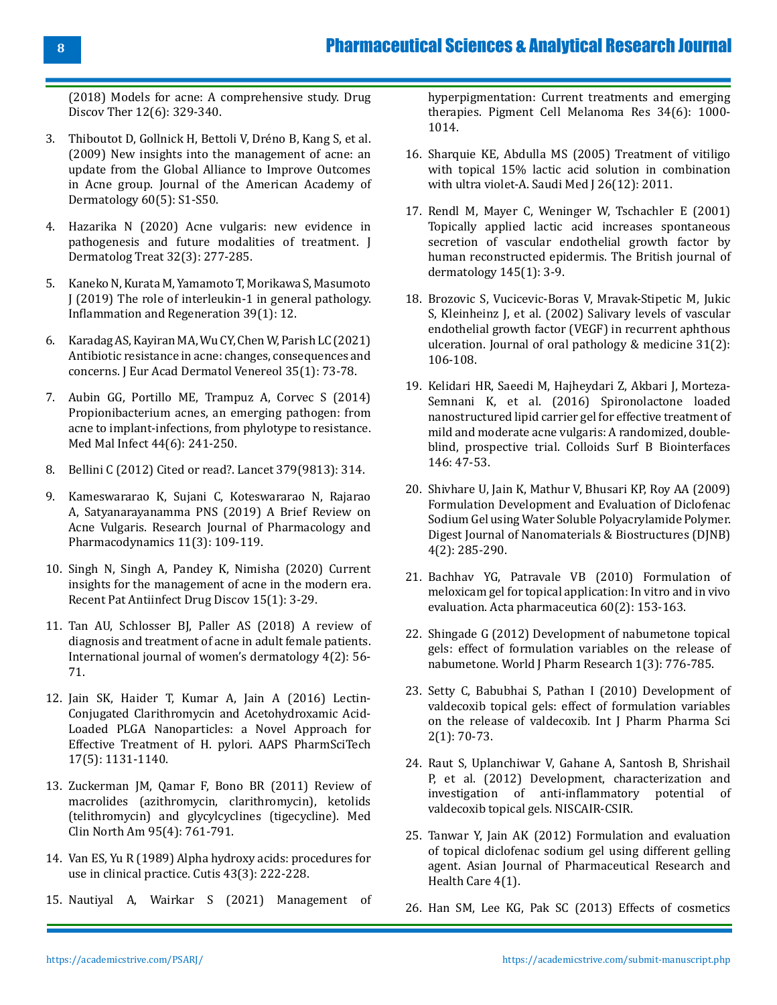[\(2018\) Models for acne: A comprehensive study. Drug](https://pubmed.ncbi.nlm.nih.gov/30674767/) [Discov Ther 12\(6\): 329-340.](https://pubmed.ncbi.nlm.nih.gov/30674767/)

- 3. [Thiboutot D, Gollnick H, Bettoli V, Dréno B, Kang S, et al.](https://pubmed.ncbi.nlm.nih.gov/19376456/) [\(2009\) New insights into the management of acne: an](https://pubmed.ncbi.nlm.nih.gov/19376456/) [update from the Global Alliance to Improve Outcomes](https://pubmed.ncbi.nlm.nih.gov/19376456/) [in Acne group. Journal of the American Academy of](https://pubmed.ncbi.nlm.nih.gov/19376456/) [Dermatology 60\(5\): S1-S50.](https://pubmed.ncbi.nlm.nih.gov/19376456/)
- 4. [Hazarika N \(2020\) Acne vulgaris: new evidence in](https://pubmed.ncbi.nlm.nih.gov/31393195/) [pathogenesis and future modalities of treatment. J](https://pubmed.ncbi.nlm.nih.gov/31393195/) [Dermatolog Treat 32\(3\): 277-285.](https://pubmed.ncbi.nlm.nih.gov/31393195/)
- 5. [Kaneko N, Kurata M, Yamamoto T, Morikawa S, Masumoto](https://pubmed.ncbi.nlm.nih.gov/31182982/) [J \(2019\) The role of interleukin-1 in general pathology.](https://pubmed.ncbi.nlm.nih.gov/31182982/) [Inflammation and Regeneration 39\(1\): 12.](https://pubmed.ncbi.nlm.nih.gov/31182982/)
- 6. [Karadag AS, Kayiran MA, Wu CY, Chen W, Parish LC \(2021\)](https://pubmed.ncbi.nlm.nih.gov/32474948/) [Antibiotic resistance in acne: changes, consequences and](https://pubmed.ncbi.nlm.nih.gov/32474948/) [concerns. J Eur Acad Dermatol Venereol 35\(1\): 73-78.](https://pubmed.ncbi.nlm.nih.gov/32474948/)
- 7. [Aubin GG, Portillo ME, Trampuz A, Corvec S \(2014\)](https://pubmed.ncbi.nlm.nih.gov/24656842/) [Propionibacterium acnes, an emerging pathogen: from](https://pubmed.ncbi.nlm.nih.gov/24656842/) [acne to implant-infections, from phylotype to resistance.](https://pubmed.ncbi.nlm.nih.gov/24656842/) [Med Mal Infect 44\(6\): 241-250.](https://pubmed.ncbi.nlm.nih.gov/24656842/)
- 8. [Bellini C \(2012\) Cited or read?. Lancet 379\(9813\): 314.](https://www.thelancet.com/journals/lancet/article/PIIS0140-6736(12)60144-5/fulltext)
- 9. [Kameswararao K, Sujani C, Koteswararao N, Rajarao](https://rjppd.org/AbstractView.aspx?PID=2019-11-3-7) [A, Satyanarayanamma PNS \(2019\) A Brief Review on](https://rjppd.org/AbstractView.aspx?PID=2019-11-3-7) [Acne Vulgaris. Research Journal of Pharmacology and](https://rjppd.org/AbstractView.aspx?PID=2019-11-3-7) [Pharmacodynamics 11\(3\): 109-119.](https://rjppd.org/AbstractView.aspx?PID=2019-11-3-7)
- 10. [Singh N, Singh A, Pandey K, Nimisha \(2020\) Current](https://pubmed.ncbi.nlm.nih.gov/32729430/) [insights for the management of acne in the modern era.](https://pubmed.ncbi.nlm.nih.gov/32729430/) [Recent Pat Antiinfect Drug Discov 15\(1\): 3-29.](https://pubmed.ncbi.nlm.nih.gov/32729430/)
- 11. [Tan AU, Schlosser BJ, Paller AS \(2018\) A review of](https://www.ncbi.nlm.nih.gov/pmc/articles/PMC5986265/) [diagnosis and treatment of acne in adult female patients.](https://www.ncbi.nlm.nih.gov/pmc/articles/PMC5986265/) [International journal of women's dermatology 4\(2\): 56-](https://www.ncbi.nlm.nih.gov/pmc/articles/PMC5986265/) [71.](https://www.ncbi.nlm.nih.gov/pmc/articles/PMC5986265/)
- 12. [Jain SK, Haider T, Kumar A, Jain A \(2016\) Lectin-](https://pubmed.ncbi.nlm.nih.gov/26566630/)[Conjugated Clarithromycin and Acetohydroxamic Acid-](https://pubmed.ncbi.nlm.nih.gov/26566630/)[Loaded PLGA Nanoparticles: a Novel Approach for](https://pubmed.ncbi.nlm.nih.gov/26566630/) [Effective Treatment of H. pylori. AAPS PharmSciTech](https://pubmed.ncbi.nlm.nih.gov/26566630/) [17\(5\): 1131-1140.](https://pubmed.ncbi.nlm.nih.gov/26566630/)
- 13. [Zuckerman JM, Qamar F, Bono BR \(2011\) Review of](https://pubmed.ncbi.nlm.nih.gov/21679791/) [macrolides \(azithromycin, clarithromycin\), ketolids](https://pubmed.ncbi.nlm.nih.gov/21679791/) [\(telithromycin\) and glycylcyclines \(tigecycline\). Med](https://pubmed.ncbi.nlm.nih.gov/21679791/) [Clin North Am 95\(4\): 761-791.](https://pubmed.ncbi.nlm.nih.gov/21679791/)
- 14. [Van ES, Yu R \(1989\) Alpha hydroxy acids: procedures for](https://pubmed.ncbi.nlm.nih.gov/2523288/) [use in clinical practice. Cutis 43\(3\): 222-228.](https://pubmed.ncbi.nlm.nih.gov/2523288/)
- 15. [Nautiyal A, Wairkar S \(2021\) Management of](https://pubmed.ncbi.nlm.nih.gov/33998768/)

[hyperpigmentation: Current treatments and emerging](https://pubmed.ncbi.nlm.nih.gov/33998768/)  [therapies. Pigment Cell Melanoma Res 34\(6\): 1000-](https://pubmed.ncbi.nlm.nih.gov/33998768/) [1014.](https://pubmed.ncbi.nlm.nih.gov/33998768/)

- 16. [Sharquie KE, Abdulla MS \(2005\) Treatment of vitiligo](https://pubmed.ncbi.nlm.nih.gov/16380801/)  [with topical 15% lactic acid solution in combination](https://pubmed.ncbi.nlm.nih.gov/16380801/)  [with ultra violet-A. Saudi Med J 26\(12\): 2011.](https://pubmed.ncbi.nlm.nih.gov/16380801/)
- 17. [Rendl M, Mayer C, Weninger W, Tschachler E \(2001\)](https://pubmed.ncbi.nlm.nih.gov/11453900/) [Topically applied lactic acid increases spontaneous](https://pubmed.ncbi.nlm.nih.gov/11453900/)  [secretion of vascular endothelial growth factor by](https://pubmed.ncbi.nlm.nih.gov/11453900/)  [human reconstructed epidermis. The British journal of](https://pubmed.ncbi.nlm.nih.gov/11453900/) [dermatology 145\(1\): 3-9.](https://pubmed.ncbi.nlm.nih.gov/11453900/)
- 18. [Brozovic S, Vucicevic-Boras V, Mravak-Stipetic M, Jukic](https://onlinelibrary.wiley.com/doi/abs/10.1034/j.1600-0714.2002.310208.x) [S, Kleinheinz J, et al. \(2002\) Salivary levels of vascular](https://onlinelibrary.wiley.com/doi/abs/10.1034/j.1600-0714.2002.310208.x)  [endothelial growth factor \(VEGF\) in recurrent aphthous](https://onlinelibrary.wiley.com/doi/abs/10.1034/j.1600-0714.2002.310208.x)  [ulceration. Journal of oral pathology & medicine 31\(2\):](https://onlinelibrary.wiley.com/doi/abs/10.1034/j.1600-0714.2002.310208.x) [106-108.](https://onlinelibrary.wiley.com/doi/abs/10.1034/j.1600-0714.2002.310208.x)
- 19. [Kelidari HR, Saeedi M, Hajheydari Z, Akbari J, Morteza-](https://pubmed.ncbi.nlm.nih.gov/27248464/)[Semnani K, et al. \(2016\) Spironolactone loaded](https://pubmed.ncbi.nlm.nih.gov/27248464/) [nanostructured lipid carrier gel for effective treatment of](https://pubmed.ncbi.nlm.nih.gov/27248464/) [mild and moderate acne vulgaris: A randomized, double](https://pubmed.ncbi.nlm.nih.gov/27248464/)[blind, prospective trial. Colloids Surf B Biointerfaces](https://pubmed.ncbi.nlm.nih.gov/27248464/) [146: 47-53.](https://pubmed.ncbi.nlm.nih.gov/27248464/)
- 20. [Shivhare U, Jain K, Mathur V, Bhusari KP, Roy AA \(2009\)](https://www.chalcogen.ro/285_Shivhare.pdf) [Formulation Development and Evaluation of Diclofenac](https://www.chalcogen.ro/285_Shivhare.pdf)  [Sodium Gel using Water Soluble Polyacrylamide Polymer.](https://www.chalcogen.ro/285_Shivhare.pdf)  [Digest Journal of Nanomaterials & Biostructures \(DJNB\)](https://www.chalcogen.ro/285_Shivhare.pdf) [4\(2\): 285-290.](https://www.chalcogen.ro/285_Shivhare.pdf)
- 21. [Bachhav YG, Patravale VB \(2010\) Formulation of](https://pubmed.ncbi.nlm.nih.gov/21134852/)  [meloxicam gel for topical application: In vitro and in vivo](https://pubmed.ncbi.nlm.nih.gov/21134852/) [evaluation. Acta pharmaceutica 60\(2\): 153-163.](https://pubmed.ncbi.nlm.nih.gov/21134852/)
- 22. [Shingade G \(2012\) Development of nabumetone topical](https://wjpr.s3.ap-south-1.amazonaws.com/article_issue/134124978612%20WJPR%20181.pdf) [gels: effect of formulation variables on the release of](https://wjpr.s3.ap-south-1.amazonaws.com/article_issue/134124978612%20WJPR%20181.pdf) [nabumetone. World J Pharm Research 1\(3\): 776-785.](https://wjpr.s3.ap-south-1.amazonaws.com/article_issue/134124978612%20WJPR%20181.pdf)
- 23. [Setty C, Babubhai S, Pathan I \(2010\) Development of](https://www.semanticscholar.org/paper/DEVELOPMENT-OF-VALDECOXIB-TOPICAL-GELS%3A-EFFECT-OF-Setty-Babubhai/13d1c67aa2a6db73177a7e8ddac2d0d7a817de5c) [valdecoxib topical gels: effect of formulation variables](https://www.semanticscholar.org/paper/DEVELOPMENT-OF-VALDECOXIB-TOPICAL-GELS%3A-EFFECT-OF-Setty-Babubhai/13d1c67aa2a6db73177a7e8ddac2d0d7a817de5c)  [on the release of valdecoxib. Int J Pharm Pharma Sci](https://www.semanticscholar.org/paper/DEVELOPMENT-OF-VALDECOXIB-TOPICAL-GELS%3A-EFFECT-OF-Setty-Babubhai/13d1c67aa2a6db73177a7e8ddac2d0d7a817de5c)  [2\(1\): 70-73.](https://www.semanticscholar.org/paper/DEVELOPMENT-OF-VALDECOXIB-TOPICAL-GELS%3A-EFFECT-OF-Setty-Babubhai/13d1c67aa2a6db73177a7e8ddac2d0d7a817de5c)
- 24. [Raut S, Uplanchiwar V, Gahane A, Santosh B, Shrishail](http://nopr.niscair.res.in/handle/123456789/13758) [P, et al. \(2012\) Development, characterization and](http://nopr.niscair.res.in/handle/123456789/13758)  investigation of anti-inflammatory potential [valdecoxib topical gels.](http://nopr.niscair.res.in/handle/123456789/13758) NISCAIR-CSIR.
- 25. [Tanwar Y, Jain AK \(2012\) Formulation and evaluation](https://www.informaticsjournals.com/index.php/ajprhc/article/view/550)  [of topical diclofenac sodium gel using different gelling](https://www.informaticsjournals.com/index.php/ajprhc/article/view/550)  [agent. Asian Journal of Pharmaceutical Research and](https://www.informaticsjournals.com/index.php/ajprhc/article/view/550)  [Health Care 4\(1\).](https://www.informaticsjournals.com/index.php/ajprhc/article/view/550)
- 26. [Han SM, Lee KG, Pak SC \(2013\) Effects of cosmetics](https://pubmed.ncbi.nlm.nih.gov/24063779/)